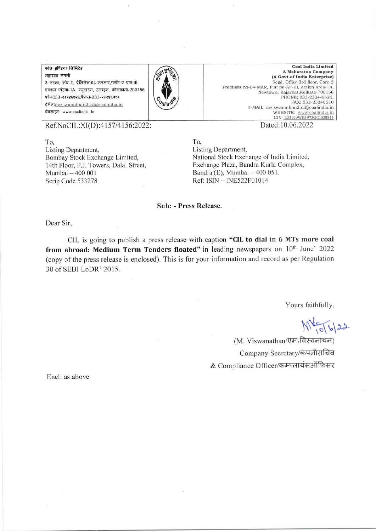कोल इण्डिया लिमिटेड महारत्न कंपनी 3 तल्ला, कोर-2, प्रेमिसेस-04-एमआर,प्लॉट-ए एफ-III, एक्शन एरिया-1A, न्यूटाउन, रजरहट, कोलकाता-700156 फोन033-२३२४६५२६,फैक्स-033-२३२४६५१० ईमेल: mviswanathan2.cil@coalindia.in वेबसाइट: www.coalindia. In



**Coal India Limited** A Maharatna Company (A Govt.of India Enterprise) Regd. Office: 3rd floor, Core-2 Premises no-04-MAR, Plot no-AF-III, Action Area-1A, Newtown, Rajarhat, Kolkata-700156 PHONE; 033-2324-6526, FAX; 033-23246510 E-MAIL: mviswanathan2.cil@coalindia.in WEBSITE: www.coalindia.in<br>CIN-L23109WB1973GOI028844

Ref.NoCIL:XI(D):4157/4156:2022:

To. Listing Department, Bombay Stock Exchange Limited, 14th Floor, P.J. Towers, Dalal Street, Mumbai - 400 001 Scrip Code 533278

Dated:10.06.2022

To. Listing Department, National Stock Exchange of India Limited, Exchange Plaza, Bandra Kurla Complex, Bandra (E), Mumbai - 400 051. Ref: ISIN - INE522F01014

## Sub: - Press Release.

Dear Sir,

CIL is going to publish a press release with caption "CIL to dial in 6 MTs more coal from abroad: Medium Term Tenders floated" in leading newspapers on 10th June' 2022 (copy of the press release is enclosed). This is for your information and record as per Regulation 30 of SEBI LoDR' 2015.

Yours faithfully,

 $M_{10}^{40}$  6/22

(M. Viswanathan/एम.विस्वनाथन) Company Secretary/कंपनीसचिव & Compliance Officer/कम्प्लायंसऑफिसर

Encl: as above